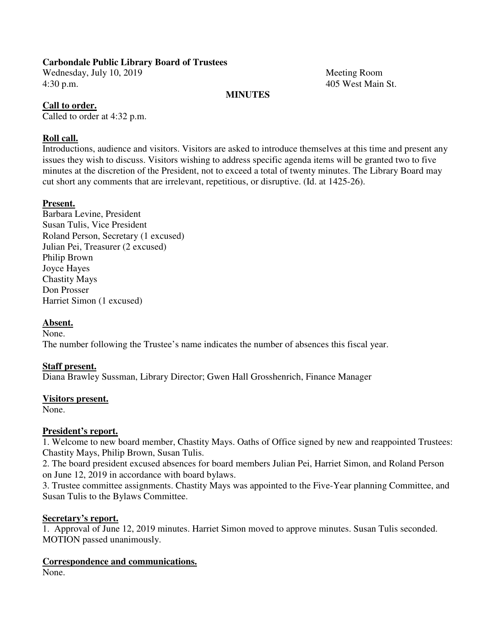Wednesday, July 10, 2019 Meeting Room 4:30 p.m. 405 West Main St.

#### **MINUTES**

## **Call to order.**

Called to order at 4:32 p.m.

## **Roll call.**

Introductions, audience and visitors. Visitors are asked to introduce themselves at this time and present any issues they wish to discuss. Visitors wishing to address specific agenda items will be granted two to five minutes at the discretion of the President, not to exceed a total of twenty minutes. The Library Board may cut short any comments that are irrelevant, repetitious, or disruptive. (Id. at 1425-26).

## **Present.**

Barbara Levine, President Susan Tulis, Vice President Roland Person, Secretary (1 excused) Julian Pei, Treasurer (2 excused) Philip Brown Joyce Hayes Chastity Mays Don Prosser Harriet Simon (1 excused)

#### **Absent.**

None.

The number following the Trustee's name indicates the number of absences this fiscal year.

## **Staff present.**

Diana Brawley Sussman, Library Director; Gwen Hall Grosshenrich, Finance Manager

#### **Visitors present.**

None.

## **President's report.**

1. Welcome to new board member, Chastity Mays. Oaths of Office signed by new and reappointed Trustees: Chastity Mays, Philip Brown, Susan Tulis.

2. The board president excused absences for board members Julian Pei, Harriet Simon, and Roland Person on June 12, 2019 in accordance with board bylaws.

3. Trustee committee assignments. Chastity Mays was appointed to the Five-Year planning Committee, and Susan Tulis to the Bylaws Committee.

#### **Secretary's report.**

1. Approval of June 12, 2019 minutes. Harriet Simon moved to approve minutes. Susan Tulis seconded. MOTION passed unanimously.

## **Correspondence and communications.**

None.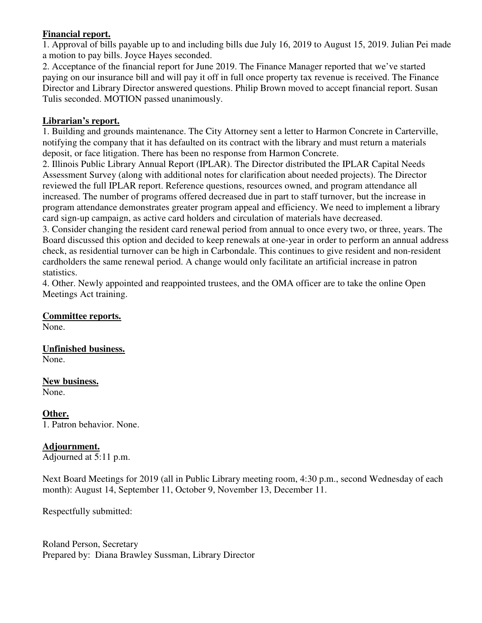## **Financial report.**

1. Approval of bills payable up to and including bills due July 16, 2019 to August 15, 2019. Julian Pei made a motion to pay bills. Joyce Hayes seconded.

2. Acceptance of the financial report for June 2019. The Finance Manager reported that we've started paying on our insurance bill and will pay it off in full once property tax revenue is received. The Finance Director and Library Director answered questions. Philip Brown moved to accept financial report. Susan Tulis seconded. MOTION passed unanimously.

## **Librarian's report.**

1. Building and grounds maintenance. The City Attorney sent a letter to Harmon Concrete in Carterville, notifying the company that it has defaulted on its contract with the library and must return a materials deposit, or face litigation. There has been no response from Harmon Concrete.

2. Illinois Public Library Annual Report (IPLAR). The Director distributed the IPLAR Capital Needs Assessment Survey (along with additional notes for clarification about needed projects). The Director reviewed the full IPLAR report. Reference questions, resources owned, and program attendance all increased. The number of programs offered decreased due in part to staff turnover, but the increase in program attendance demonstrates greater program appeal and efficiency. We need to implement a library card sign-up campaign, as active card holders and circulation of materials have decreased.

3. Consider changing the resident card renewal period from annual to once every two, or three, years. The Board discussed this option and decided to keep renewals at one-year in order to perform an annual address check, as residential turnover can be high in Carbondale. This continues to give resident and non-resident cardholders the same renewal period. A change would only facilitate an artificial increase in patron statistics.

4. Other. Newly appointed and reappointed trustees, and the OMA officer are to take the online Open Meetings Act training.

#### **Committee reports.**

None.

**Unfinished business.**  None.

**New business.** 

None.

**Other.**  1. Patron behavior. None.

## **Adjournment.**

Adjourned at 5:11 p.m.

Next Board Meetings for 2019 (all in Public Library meeting room, 4:30 p.m., second Wednesday of each month): August 14, September 11, October 9, November 13, December 11.

Respectfully submitted: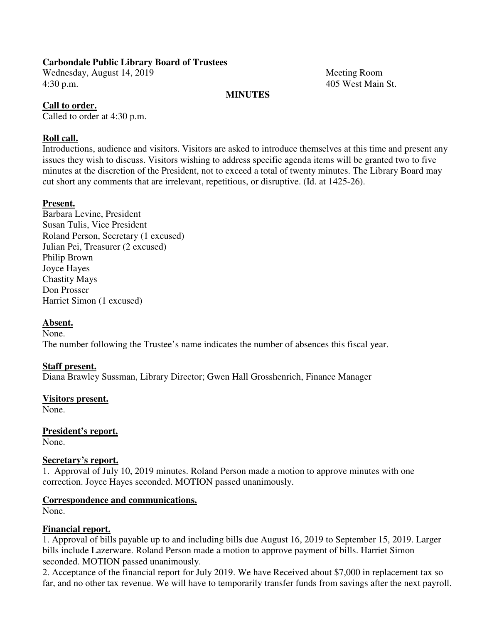Wednesday, August 14, 2019 Meeting Room 4:30 p.m. 405 West Main St.

## **MINUTES**

#### **Call to order.**

Called to order at 4:30 p.m.

## **Roll call.**

Introductions, audience and visitors. Visitors are asked to introduce themselves at this time and present any issues they wish to discuss. Visitors wishing to address specific agenda items will be granted two to five minutes at the discretion of the President, not to exceed a total of twenty minutes. The Library Board may cut short any comments that are irrelevant, repetitious, or disruptive. (Id. at 1425-26).

## **Present.**

Barbara Levine, President Susan Tulis, Vice President Roland Person, Secretary (1 excused) Julian Pei, Treasurer (2 excused) Philip Brown Joyce Hayes Chastity Mays Don Prosser Harriet Simon (1 excused)

## **Absent.**

None.

The number following the Trustee's name indicates the number of absences this fiscal year.

## **Staff present.**

Diana Brawley Sussman, Library Director; Gwen Hall Grosshenrich, Finance Manager

#### **Visitors present.**

None.

**President's report.**  None.

#### **Secretary's report.**

1. Approval of July 10, 2019 minutes. Roland Person made a motion to approve minutes with one correction. Joyce Hayes seconded. MOTION passed unanimously.

#### **Correspondence and communications.**

None.

## **Financial report.**

1. Approval of bills payable up to and including bills due August 16, 2019 to September 15, 2019. Larger bills include Lazerware. Roland Person made a motion to approve payment of bills. Harriet Simon seconded. MOTION passed unanimously.

2. Acceptance of the financial report for July 2019. We have Received about \$7,000 in replacement tax so far, and no other tax revenue. We will have to temporarily transfer funds from savings after the next payroll.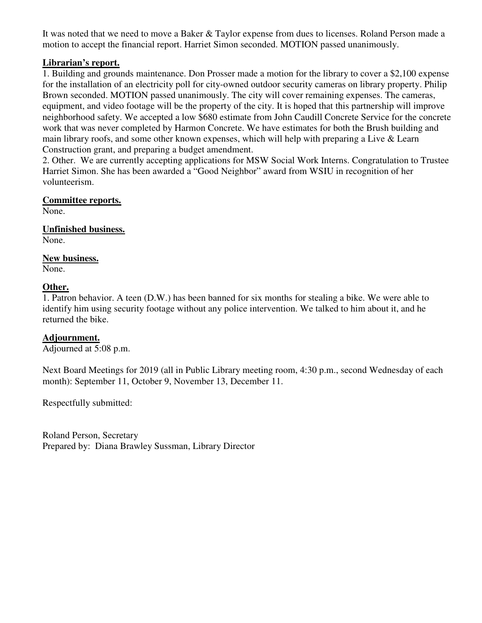It was noted that we need to move a Baker & Taylor expense from dues to licenses. Roland Person made a motion to accept the financial report. Harriet Simon seconded. MOTION passed unanimously.

## **Librarian's report.**

1. Building and grounds maintenance. Don Prosser made a motion for the library to cover a \$2,100 expense for the installation of an electricity poll for city-owned outdoor security cameras on library property. Philip Brown seconded. MOTION passed unanimously. The city will cover remaining expenses. The cameras, equipment, and video footage will be the property of the city. It is hoped that this partnership will improve neighborhood safety. We accepted a low \$680 estimate from John Caudill Concrete Service for the concrete work that was never completed by Harmon Concrete. We have estimates for both the Brush building and main library roofs, and some other known expenses, which will help with preparing a Live & Learn Construction grant, and preparing a budget amendment.

2. Other. We are currently accepting applications for MSW Social Work Interns. Congratulation to Trustee Harriet Simon. She has been awarded a "Good Neighbor" award from WSIU in recognition of her volunteerism.

## **Committee reports.**

None.

**Unfinished business.**  None.

## **New business.**

None.

## **Other.**

1. Patron behavior. A teen (D.W.) has been banned for six months for stealing a bike. We were able to identify him using security footage without any police intervention. We talked to him about it, and he returned the bike.

#### **Adjournment.**

Adjourned at 5:08 p.m.

Next Board Meetings for 2019 (all in Public Library meeting room, 4:30 p.m., second Wednesday of each month): September 11, October 9, November 13, December 11.

Respectfully submitted: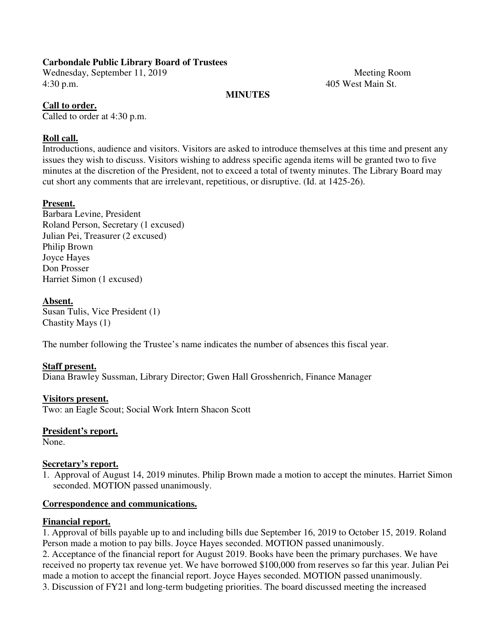Wednesday, September 11, 2019 Meeting Room 4:30 p.m. 405 West Main St.

#### **MINUTES**

## **Call to order.**

Called to order at 4:30 p.m.

## **Roll call.**

Introductions, audience and visitors. Visitors are asked to introduce themselves at this time and present any issues they wish to discuss. Visitors wishing to address specific agenda items will be granted two to five minutes at the discretion of the President, not to exceed a total of twenty minutes. The Library Board may cut short any comments that are irrelevant, repetitious, or disruptive. (Id. at 1425-26).

## **Present.**

Barbara Levine, President Roland Person, Secretary (1 excused) Julian Pei, Treasurer (2 excused) Philip Brown Joyce Hayes Don Prosser Harriet Simon (1 excused)

#### **Absent.**

Susan Tulis, Vice President (1) Chastity Mays (1)

The number following the Trustee's name indicates the number of absences this fiscal year.

#### **Staff present.**

Diana Brawley Sussman, Library Director; Gwen Hall Grosshenrich, Finance Manager

#### **Visitors present.**

Two: an Eagle Scout; Social Work Intern Shacon Scott

## **President's report.**

None.

#### **Secretary's report.**

1. Approval of August 14, 2019 minutes. Philip Brown made a motion to accept the minutes. Harriet Simon seconded. MOTION passed unanimously.

#### **Correspondence and communications.**

## **Financial report.**

1. Approval of bills payable up to and including bills due September 16, 2019 to October 15, 2019. Roland Person made a motion to pay bills. Joyce Hayes seconded. MOTION passed unanimously. 2. Acceptance of the financial report for August 2019. Books have been the primary purchases. We have received no property tax revenue yet. We have borrowed \$100,000 from reserves so far this year. Julian Pei made a motion to accept the financial report. Joyce Hayes seconded. MOTION passed unanimously. 3. Discussion of FY21 and long-term budgeting priorities. The board discussed meeting the increased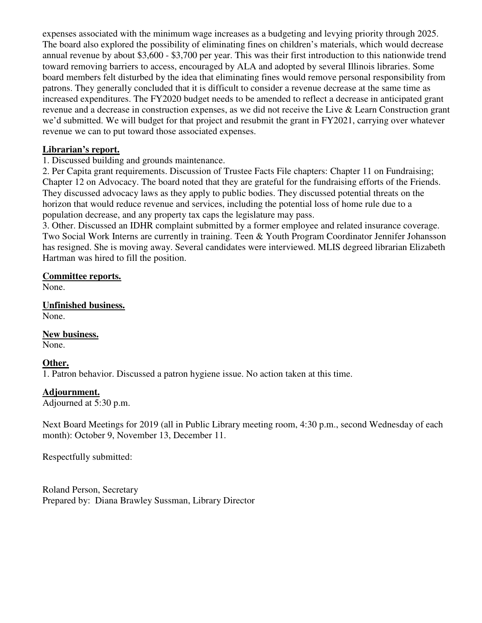expenses associated with the minimum wage increases as a budgeting and levying priority through 2025. The board also explored the possibility of eliminating fines on children's materials, which would decrease annual revenue by about \$3,600 - \$3,700 per year. This was their first introduction to this nationwide trend toward removing barriers to access, encouraged by ALA and adopted by several Illinois libraries. Some board members felt disturbed by the idea that eliminating fines would remove personal responsibility from patrons. They generally concluded that it is difficult to consider a revenue decrease at the same time as increased expenditures. The FY2020 budget needs to be amended to reflect a decrease in anticipated grant revenue and a decrease in construction expenses, as we did not receive the Live & Learn Construction grant we'd submitted. We will budget for that project and resubmit the grant in FY2021, carrying over whatever revenue we can to put toward those associated expenses.

## **Librarian's report.**

1. Discussed building and grounds maintenance.

2. Per Capita grant requirements. Discussion of Trustee Facts File chapters: Chapter 11 on Fundraising; Chapter 12 on Advocacy. The board noted that they are grateful for the fundraising efforts of the Friends. They discussed advocacy laws as they apply to public bodies. They discussed potential threats on the horizon that would reduce revenue and services, including the potential loss of home rule due to a population decrease, and any property tax caps the legislature may pass.

3. Other. Discussed an IDHR complaint submitted by a former employee and related insurance coverage. Two Social Work Interns are currently in training. Teen & Youth Program Coordinator Jennifer Johansson has resigned. She is moving away. Several candidates were interviewed. MLIS degreed librarian Elizabeth Hartman was hired to fill the position.

## **Committee reports.**

None.

**Unfinished business.**  None.

**New business.**  None.

## **Other.**

1. Patron behavior. Discussed a patron hygiene issue. No action taken at this time.

#### **Adjournment.**

Adjourned at 5:30 p.m.

Next Board Meetings for 2019 (all in Public Library meeting room, 4:30 p.m., second Wednesday of each month): October 9, November 13, December 11.

Respectfully submitted: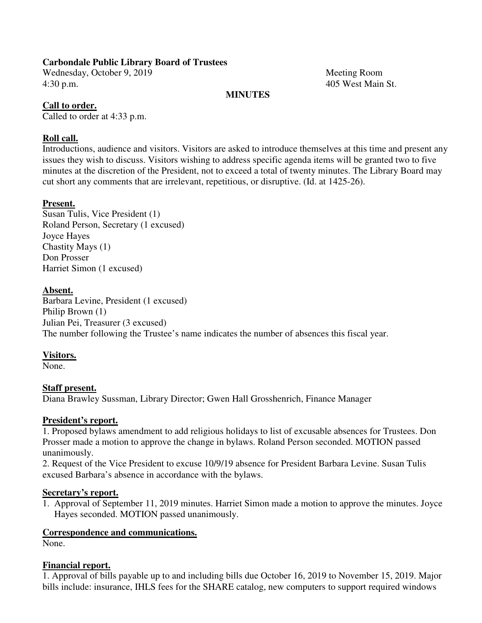Wednesday, October 9, 2019 Meeting Room 4:30 p.m. 405 West Main St.

#### **MINUTES**

## **Call to order.**

Called to order at 4:33 p.m.

## **Roll call.**

Introductions, audience and visitors. Visitors are asked to introduce themselves at this time and present any issues they wish to discuss. Visitors wishing to address specific agenda items will be granted two to five minutes at the discretion of the President, not to exceed a total of twenty minutes. The Library Board may cut short any comments that are irrelevant, repetitious, or disruptive. (Id. at 1425-26).

## **Present.**

Susan Tulis, Vice President (1) Roland Person, Secretary (1 excused) Joyce Hayes Chastity Mays (1) Don Prosser Harriet Simon (1 excused)

## **Absent.**

Barbara Levine, President (1 excused) Philip Brown (1) Julian Pei, Treasurer (3 excused) The number following the Trustee's name indicates the number of absences this fiscal year.

#### **Visitors.**

None.

## **Staff present.**

Diana Brawley Sussman, Library Director; Gwen Hall Grosshenrich, Finance Manager

#### **President's report.**

1. Proposed bylaws amendment to add religious holidays to list of excusable absences for Trustees. Don Prosser made a motion to approve the change in bylaws. Roland Person seconded. MOTION passed unanimously.

2. Request of the Vice President to excuse 10/9/19 absence for President Barbara Levine. Susan Tulis excused Barbara's absence in accordance with the bylaws.

#### **Secretary's report.**

1. Approval of September 11, 2019 minutes. Harriet Simon made a motion to approve the minutes. Joyce Hayes seconded. MOTION passed unanimously.

## **Correspondence and communications.**

None.

#### **Financial report.**

1. Approval of bills payable up to and including bills due October 16, 2019 to November 15, 2019. Major bills include: insurance, IHLS fees for the SHARE catalog, new computers to support required windows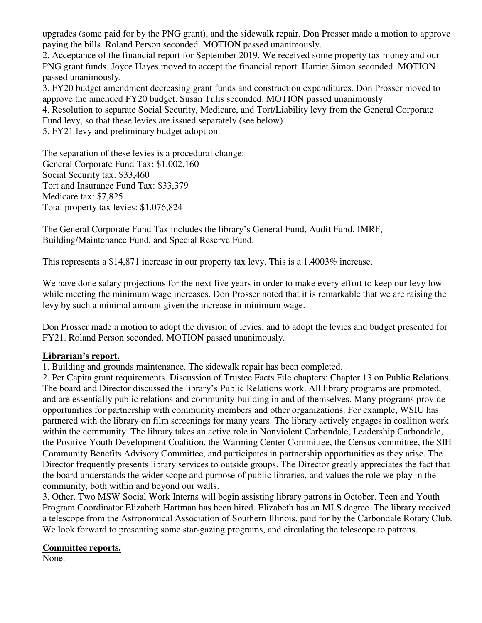upgrades (some paid for by the PNG grant), and the sidewalk repair. Don Prosser made a motion to approve paying the bills. Roland Person seconded. MOTION passed unanimously.

2. Acceptance of the financial report for September 2019. We received some property tax money and our PNG grant funds. Joyce Hayes moved to accept the financial report. Harriet Simon seconded. MOTION passed unanimously.

3. FY20 budget amendment decreasing grant funds and construction expenditures. Don Prosser moved to approve the amended FY20 budget. Susan Tulis seconded. MOTION passed unanimously.

4. Resolution to separate Social Security, Medicare, and Tort/Liability levy from the General Corporate Fund levy, so that these levies are issued separately (see below).

5. FY21 levy and preliminary budget adoption.

The separation of these levies is a procedural change: General Corporate Fund Tax: \$1,002,160 Social Security tax: \$33,460 Tort and Insurance Fund Tax: \$33,379 Medicare tax: \$7,825 Total property tax levies: \$1,076,824

The General Corporate Fund Tax includes the library's General Fund, Audit Fund, IMRF, Building/Maintenance Fund, and Special Reserve Fund.

This represents a \$14,871 increase in our property tax levy. This is a 1.4003% increase.

We have done salary projections for the next five years in order to make every effort to keep our levy low while meeting the minimum wage increases. Don Prosser noted that it is remarkable that we are raising the levy by such a minimal amount given the increase in minimum wage.

Don Prosser made a motion to adopt the division of levies, and to adopt the levies and budget presented for FY21. Roland Person seconded. MOTION passed unanimously.

## **Librarian's report.**

1. Building and grounds maintenance. The sidewalk repair has been completed.

2. Per Capita grant requirements. Discussion of Trustee Facts File chapters: Chapter 13 on Public Relations. The board and Director discussed the library's Public Relations work. All library programs are promoted, and are essentially public relations and community-building in and of themselves. Many programs provide opportunities for partnership with community members and other organizations. For example, WSIU has partnered with the library on film screenings for many years. The library actively engages in coalition work within the community. The library takes an active role in Nonviolent Carbondale, Leadership Carbondale, the Positive Youth Development Coalition, the Warming Center Committee, the Census committee, the SIH Community Benefits Advisory Committee, and participates in partnership opportunities as they arise. The Director frequently presents library services to outside groups. The Director greatly appreciates the fact that the board understands the wider scope and purpose of public libraries, and values the role we play in the community, both within and beyond our walls.

3. Other. Two MSW Social Work Interns will begin assisting library patrons in October. Teen and Youth Program Coordinator Elizabeth Hartman has been hired. Elizabeth has an MLS degree. The library received a telescope from the Astronomical Association of Southern Illinois, paid for by the Carbondale Rotary Club. We look forward to presenting some star-gazing programs, and circulating the telescope to patrons.

#### **Committee reports.**

None.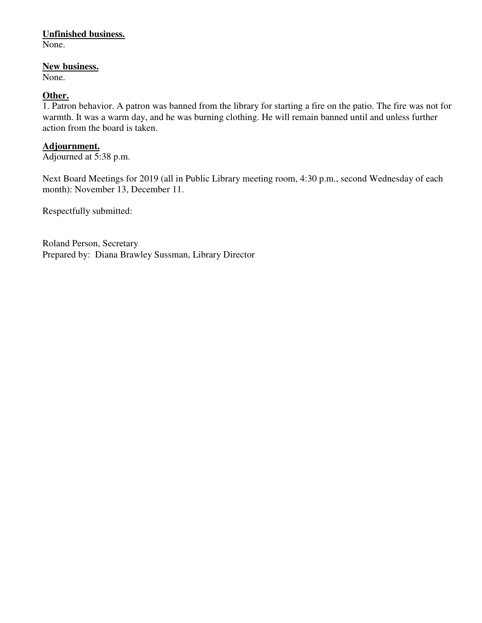## **Unfinished business.**

None.

#### **New business.**

None.

## **Other.**

1. Patron behavior. A patron was banned from the library for starting a fire on the patio. The fire was not for warmth. It was a warm day, and he was burning clothing. He will remain banned until and unless further action from the board is taken.

#### **Adjournment.**

Adjourned at 5:38 p.m.

Next Board Meetings for 2019 (all in Public Library meeting room, 4:30 p.m., second Wednesday of each month): November 13, December 11.

Respectfully submitted: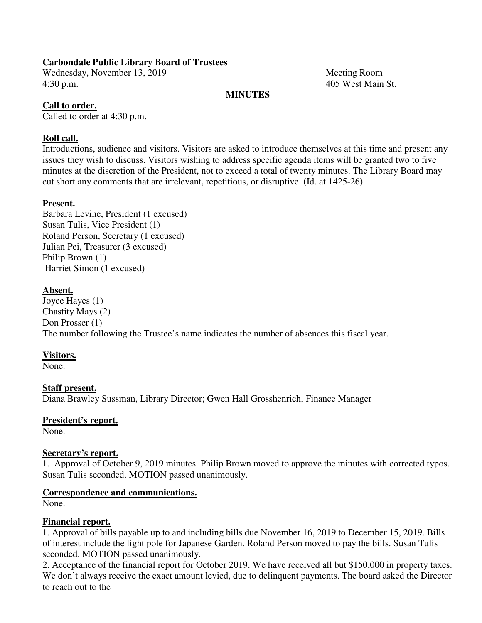Wednesday, November 13, 2019 Meeting Room 4:30 p.m. 405 West Main St.

#### **MINUTES**

## **Call to order.**

Called to order at 4:30 p.m.

## **Roll call.**

Introductions, audience and visitors. Visitors are asked to introduce themselves at this time and present any issues they wish to discuss. Visitors wishing to address specific agenda items will be granted two to five minutes at the discretion of the President, not to exceed a total of twenty minutes. The Library Board may cut short any comments that are irrelevant, repetitious, or disruptive. (Id. at 1425-26).

## **Present.**

Barbara Levine, President (1 excused) Susan Tulis, Vice President (1) Roland Person, Secretary (1 excused) Julian Pei, Treasurer (3 excused) Philip Brown (1) Harriet Simon (1 excused)

## **Absent.**

Joyce Hayes (1) Chastity Mays (2) Don Prosser (1) The number following the Trustee's name indicates the number of absences this fiscal year.

#### **Visitors.**

None.

## **Staff present.**

Diana Brawley Sussman, Library Director; Gwen Hall Grosshenrich, Finance Manager

#### **President's report.**

None.

#### **Secretary's report.**

1. Approval of October 9, 2019 minutes. Philip Brown moved to approve the minutes with corrected typos. Susan Tulis seconded. MOTION passed unanimously.

#### **Correspondence and communications.**

None.

#### **Financial report.**

1. Approval of bills payable up to and including bills due November 16, 2019 to December 15, 2019. Bills of interest include the light pole for Japanese Garden. Roland Person moved to pay the bills. Susan Tulis seconded. MOTION passed unanimously.

2. Acceptance of the financial report for October 2019. We have received all but \$150,000 in property taxes. We don't always receive the exact amount levied, due to delinquent payments. The board asked the Director to reach out to the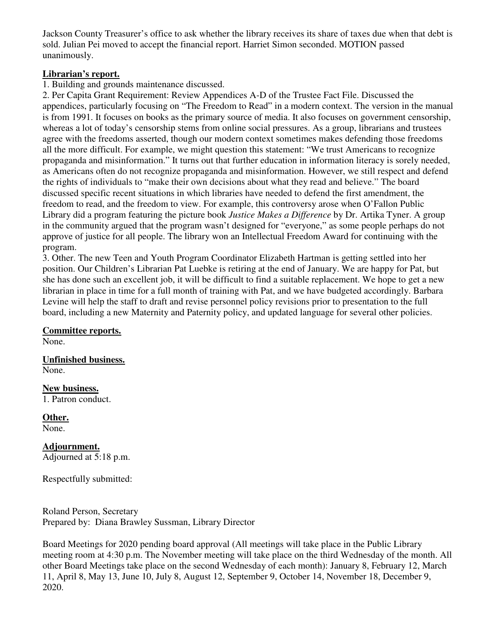Jackson County Treasurer's office to ask whether the library receives its share of taxes due when that debt is sold. Julian Pei moved to accept the financial report. Harriet Simon seconded. MOTION passed unanimously.

## **Librarian's report.**

1. Building and grounds maintenance discussed.

2. Per Capita Grant Requirement: Review Appendices A-D of the Trustee Fact File. Discussed the appendices, particularly focusing on "The Freedom to Read" in a modern context. The version in the manual is from 1991. It focuses on books as the primary source of media. It also focuses on government censorship, whereas a lot of today's censorship stems from online social pressures. As a group, librarians and trustees agree with the freedoms asserted, though our modern context sometimes makes defending those freedoms all the more difficult. For example, we might question this statement: "We trust Americans to recognize propaganda and misinformation." It turns out that further education in information literacy is sorely needed, as Americans often do not recognize propaganda and misinformation. However, we still respect and defend the rights of individuals to "make their own decisions about what they read and believe." The board discussed specific recent situations in which libraries have needed to defend the first amendment, the freedom to read, and the freedom to view. For example, this controversy arose when O'Fallon Public Library did a program featuring the picture book *Justice Makes a Difference* by Dr. Artika Tyner. A group in the community argued that the program wasn't designed for "everyone," as some people perhaps do not approve of justice for all people. The library won an Intellectual Freedom Award for continuing with the program.

3. Other. The new Teen and Youth Program Coordinator Elizabeth Hartman is getting settled into her position. Our Children's Librarian Pat Luebke is retiring at the end of January. We are happy for Pat, but she has done such an excellent job, it will be difficult to find a suitable replacement. We hope to get a new librarian in place in time for a full month of training with Pat, and we have budgeted accordingly. Barbara Levine will help the staff to draft and revise personnel policy revisions prior to presentation to the full board, including a new Maternity and Paternity policy, and updated language for several other policies.

**Committee reports.**  None.

**Unfinished business.**  None.

**New business.**  1. Patron conduct.

**Other.**  None.

**Adjournment.**  Adjourned at 5:18 p.m.

Respectfully submitted:

Roland Person, Secretary Prepared by: Diana Brawley Sussman, Library Director

Board Meetings for 2020 pending board approval (All meetings will take place in the Public Library meeting room at 4:30 p.m. The November meeting will take place on the third Wednesday of the month. All other Board Meetings take place on the second Wednesday of each month): January 8, February 12, March 11, April 8, May 13, June 10, July 8, August 12, September 9, October 14, November 18, December 9, 2020.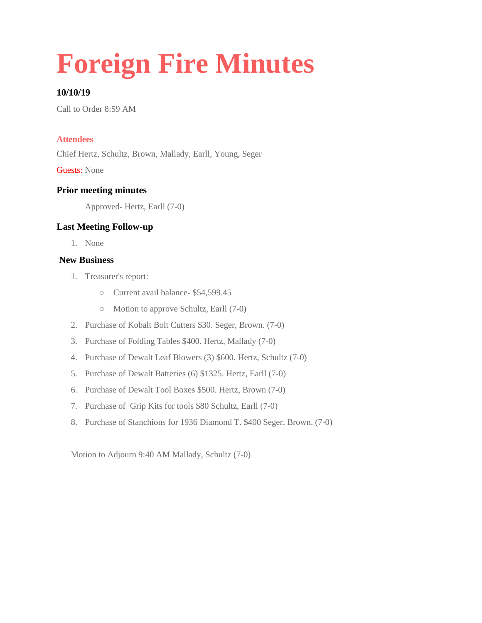# **Foreign Fire Minutes**

## **10/10/19**

Call to Order 8:59 AM

#### **Attendees**

Chief Hertz, Schultz, Brown, Mallady, Earll, Young, Seger

Guests: None

#### **Prior meeting minutes**

Approved- Hertz, Earll (7-0)

#### **Last Meeting Follow-up**

1. None

#### **New Business**

- 1. Treasurer's report:
	- Current avail balance- \$54,599.45
	- Motion to approve Schultz, Earll (7-0)
- 2. Purchase of Kobalt Bolt Cutters \$30. Seger, Brown. (7-0)
- 3. Purchase of Folding Tables \$400. Hertz, Mallady (7-0)
- 4. Purchase of Dewalt Leaf Blowers (3) \$600. Hertz, Schultz (7-0)
- 5. Purchase of Dewalt Batteries (6) \$1325. Hertz, Earll (7-0)
- 6. Purchase of Dewalt Tool Boxes \$500. Hertz, Brown (7-0)
- 7. Purchase of Grip Kits for tools \$80 Schultz, Earll (7-0)
- 8. Purchase of Stanchions for 1936 Diamond T. \$400 Seger, Brown. (7-0)

Motion to Adjourn 9:40 AM Mallady, Schultz (7-0)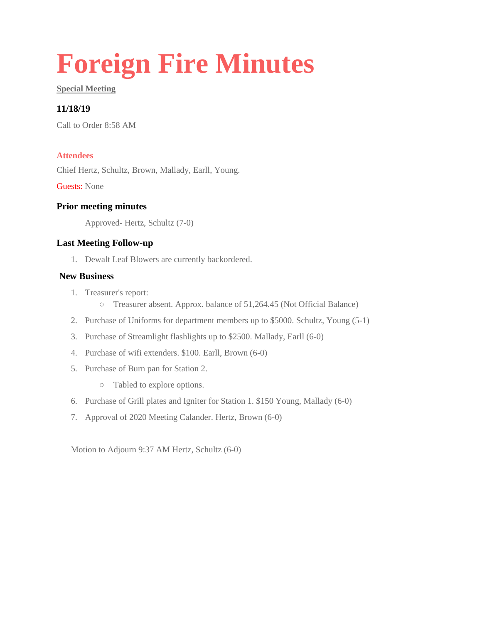# **Foreign Fire Minutes**

#### **Special Meeting**

## **11/18/19**

Call to Order 8:58 AM

#### **Attendees**

Chief Hertz, Schultz, Brown, Mallady, Earll, Young.

Guests: None

#### **Prior meeting minutes**

Approved- Hertz, Schultz (7-0)

#### **Last Meeting Follow-up**

1. Dewalt Leaf Blowers are currently backordered.

#### **New Business**

- 1. Treasurer's report:
	- Treasurer absent. Approx. balance of 51,264.45 (Not Official Balance)
- 2. Purchase of Uniforms for department members up to \$5000. Schultz, Young (5-1)
- 3. Purchase of Streamlight flashlights up to \$2500. Mallady, Earll (6-0)
- 4. Purchase of wifi extenders. \$100. Earll, Brown (6-0)
- 5. Purchase of Burn pan for Station 2.
	- Tabled to explore options.
- 6. Purchase of Grill plates and Igniter for Station 1. \$150 Young, Mallady (6-0)
- 7. Approval of 2020 Meeting Calander. Hertz, Brown (6-0)

Motion to Adjourn 9:37 AM Hertz, Schultz (6-0)